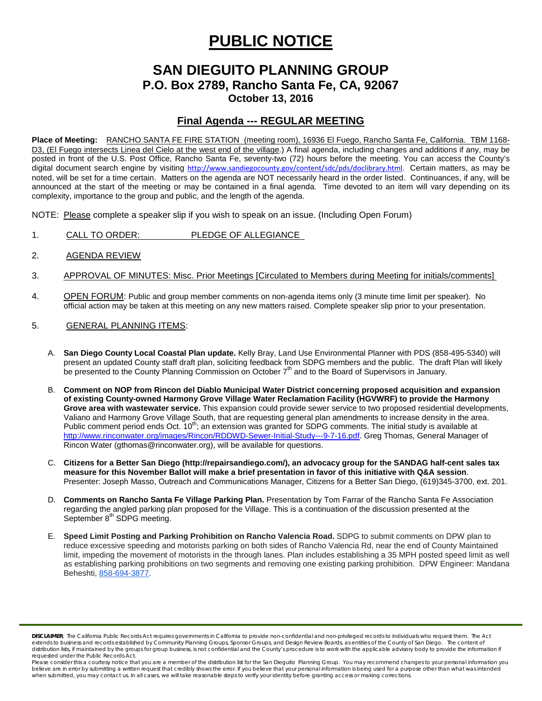# **PUBLIC NOTICE**

## **SAN DIEGUITO PLANNING GROUP P.O. Box 2789, Rancho Santa Fe, CA, 92067 October 13, 2016**

### **Final Agenda --- REGULAR MEETING**

**Place of Meeting:** RANCHO SANTA FE FIRE STATION (meeting room), 16936 El Fuego, Rancho Santa Fe, California. TBM 1168- D3, (El Fuego intersects Linea del Cielo at the west end of the village.) A final agenda, including changes and additions if any, may be posted in front of the U.S. Post Office, Rancho Santa Fe, seventy-two (72) hours before the meeting. You can access the County's digital document search engine by visiting [http://www.sandiegocounty.gov/content/sdc/pds/doclibrary.html.](http://www.sandiegocounty.gov/content/sdc/pds/doclibrary.html) Certain matters, as may be noted, will be set for a time certain. Matters on the agenda are NOT necessarily heard in the order listed. Continuances, if any, will be announced at the start of the meeting or may be contained in a final agenda. Time devoted to an item will vary depending on its complexity, importance to the group and public, and the length of the agenda.

NOTE: Please complete a speaker slip if you wish to speak on an issue. (Including Open Forum)

- 1. CALL TO ORDER: PLEDGE OF ALLEGIANCE
- 2. AGENDA REVIEW
- 3. APPROVAL OF MINUTES: Misc. Prior Meetings [Circulated to Members during Meeting for initials/comments]
- 4. OPEN FORUM: Public and group member comments on non-agenda items only (3 minute time limit per speaker). No official action may be taken at this meeting on any new matters raised. Complete speaker slip prior to your presentation.
- 5. GENERAL PLANNING ITEMS:
	- A. **San Diego County Local Coastal Plan update.** Kelly Bray, Land Use Environmental Planner with PDS (858-495-5340) will present an updated County staff draft plan, soliciting feedback from SDPG members and the public. The draft Plan will likely be presented to the County Planning Commission on October 7<sup>th</sup> and to the Board of Supervisors in January.
	- B. **Comment on NOP from Rincon del Diablo Municipal Water District concerning proposed acquisition and expansion of existing County-owned Harmony Grove Village Water Reclamation Facility (HGVWRF) to provide the Harmony Grove area with wastewater service.** This expansion could provide sewer service to two proposed residential developments, Valiano and Harmony Grove Village South, that are requesting general plan amendments to increase density in the area. Public comment period ends Oct. 10<sup>th</sup>; an extension was granted for SDPG comments. The initial study is available at [http://www.rinconwater.org/images/Rincon/RDDWD-Sewer-Initial-Study---9-7-16.pdf.](http://www.rinconwater.org/images/Rincon/RDDWD-Sewer-Initial-Study---9-7-16.pdf) Greg Thomas, General Manager of Rincon Water (gthomas@rinconwater.org), will be available for questions.
	- C. **Citizens for a Better San Diego [\(http://repairsandiego.com/\)](http://repairsandiego.com/), an advocacy group for the SANDAG half-cent sales tax measure for this November Ballot will make a brief presentation in favor of this initiative with Q&A session**. Presenter: Joseph Masso, Outreach and Communications Manager, Citizens for a Better San Diego, [\(619\)345-3700, ext. 201.](tel:%28619%29345-3700%2C%20ext.%20201)
	- D. **Comments on Rancho Santa Fe Village Parking Plan.** Presentation by Tom Farrar of the Rancho Santa Fe Association regarding the angled parking plan proposed for the Village. This is a continuation of the discussion presented at the September 8<sup>th</sup> SDPG meeting.
	- E. **Speed Limit Posting and Parking Prohibition on Rancho Valencia Road.** SDPG to submit comments on DPW plan to reduce excessive speeding and motorists parking on both sides of Rancho Valencia Rd, near the end of County Maintained limit, impeding the movement of motorists in the through lanes. Plan includes establishing a 35 MPH posted speed limit as well as establishing parking prohibitions on two segments and removing one existing parking prohibition. DPW Engineer: Mandana Beheshti, [858-694-3877.](tel:858-694-3877)

*DISCLAIMER; The California Public Records Act requires governments in California to provide non-confidential and non-privileged records to individuals who request them. The Act*  extends to business and records established by Community Planning Groups, Sponsor Groups, and Design Review Boards, as entities of the County of San Diego. The content of distribution lists, if maintained by the groups for group business, is not confidential and the County's procedure is to work with the applicable advisory body to provide the information if *requested under the Public Records Act.*

Please consider this a courtesy notice that you are a member of the distribution list for the San Dieguito Planning Group. You may recommend changes to your personal information you believe are in error by submitting a written request that credibly shows the error. If you believe that your personal information is being used for a purpose other than what was intended<br>when submitted, you may contact us.